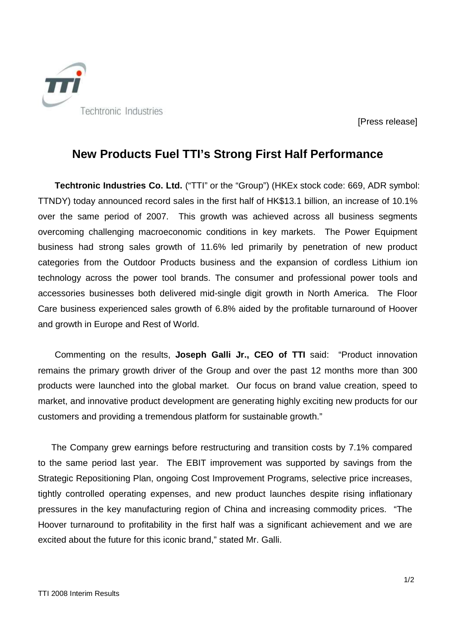

[Press release]

# **New Products Fuel TTI's Strong First Half Performance**

**Techtronic Industries Co. Ltd.** ("TTI" or the "Group") (HKEx stock code: 669, ADR symbol: TTNDY) today announced record sales in the first half of HK\$13.1 billion, an increase of 10.1% over the same period of 2007. This growth was achieved across all business segments overcoming challenging macroeconomic conditions in key markets. The Power Equipment business had strong sales growth of 11.6% led primarily by penetration of new product categories from the Outdoor Products business and the expansion of cordless Lithium ion technology across the power tool brands. The consumer and professional power tools and accessories businesses both delivered mid-single digit growth in North America. The Floor Care business experienced sales growth of 6.8% aided by the profitable turnaround of Hoover and growth in Europe and Rest of World.

Commenting on the results, **Joseph Galli Jr., CEO of TTI** said: "Product innovation remains the primary growth driver of the Group and over the past 12 months more than 300 products were launched into the global market. Our focus on brand value creation, speed to market, and innovative product development are generating highly exciting new products for our customers and providing a tremendous platform for sustainable growth."

The Company grew earnings before restructuring and transition costs by 7.1% compared to the same period last year. The EBIT improvement was supported by savings from the Strategic Repositioning Plan, ongoing Cost Improvement Programs, selective price increases, tightly controlled operating expenses, and new product launches despite rising inflationary pressures in the key manufacturing region of China and increasing commodity prices. "The Hoover turnaround to profitability in the first half was a significant achievement and we are excited about the future for this iconic brand," stated Mr. Galli.